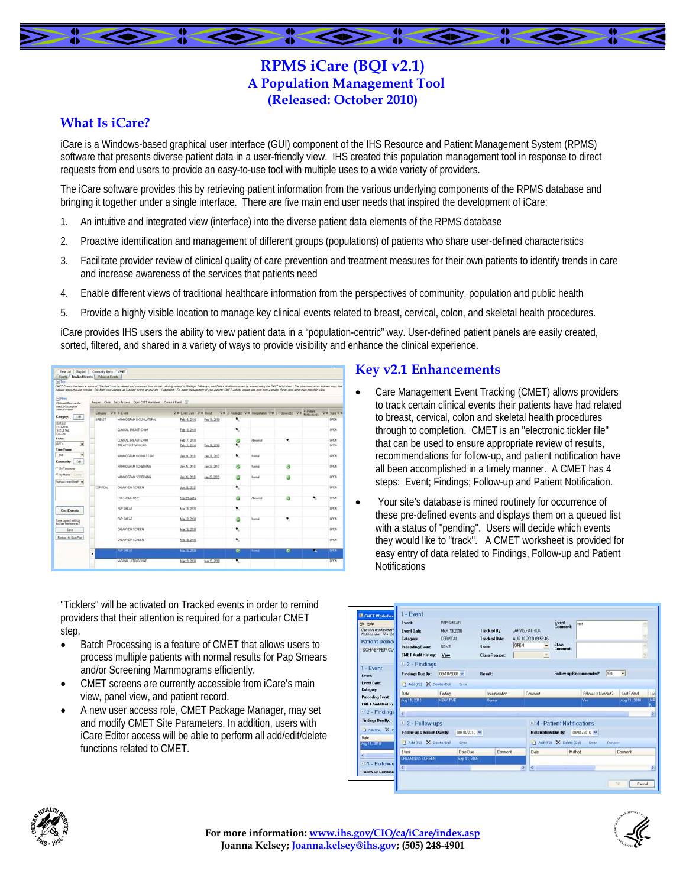# **RPMS iCare (BQI v2.1) A Population Management Tool (Released: October 2010)**

#### **What Is iCare?**

iCare is a Windows-based graphical user interface (GUI) component of the IHS Resource and Patient Management System (RPMS) software that presents diverse patient data in a user-friendly view. IHS created this population management tool in response to direct requests from end users to provide an easy-to-use tool with multiple uses to a wide variety of providers.

The iCare software provides this by retrieving patient information from the various underlying components of the RPMS database and bringing it together under a single interface. There are five main end user needs that inspired the development of iCare:

- 1. An intuitive and integrated view (interface) into the diverse patient data elements of the RPMS database
- 2. Proactive identification and management of different groups (populations) of patients who share user-defined characteristics
- 3. Facilitate provider review of clinical quality of care prevention and treatment measures for their own patients to identify trends in care and increase awareness of the services that patients need
- 4. Enable different views of traditional healthcare information from the perspectives of community, population and public health
- Provide a highly visible location to manage key clinical events related to breast, cervical, colon, and skeletal health procedures.

5. Provide a highly visible location to manage key clinical events related to breast, cervical, colon, and skeletal health procedures.<br>iCare provides IHS users the ability to view patient data in a "population-centric" way sorted, filtered, and shared in a variety of ways to provide visibility and enhance the clinical experience.

| Events: Teacked Events   Followsp Events                    |                   |                                                                                                                                                                                                                                                                                                                                                                                                                                                                 |                                                                 |              |        |         |   |                                   |                 |
|-------------------------------------------------------------|-------------------|-----------------------------------------------------------------------------------------------------------------------------------------------------------------------------------------------------------------------------------------------------------------------------------------------------------------------------------------------------------------------------------------------------------------------------------------------------------------|-----------------------------------------------------------------|--------------|--------|---------|---|-----------------------------------|-----------------|
| $\Box$ Tex                                                  |                   |                                                                                                                                                                                                                                                                                                                                                                                                                                                                 |                                                                 |              |        |         |   |                                   |                 |
|                                                             |                   | OIET Every that have a status of "Tracked" can be viewed and processed from the tab. Activity midwell to Findings, Indiana and Palent Noticiations can be entered using the OIET Worksheet. The checkmak score indicate surge<br>releate state that are conclus. The Main view diplace at Tracked events at your site. Supportion: For easier nanagement of your patients' CMTT activity, create and work from a smaller Panel view rather than this Main view. |                                                                 |              |        |         |   |                                   |                 |
| <b>El Films</b><br>Online West can be<br>used to focus your |                   | Recom Close Batch Process Com CHET Worksheet Create A Fanel                                                                                                                                                                                                                                                                                                                                                                                                     |                                                                 |              |        |         |   |                                   |                 |
| view of events                                              | Casow ' Va 1-Ever |                                                                                                                                                                                                                                                                                                                                                                                                                                                                 | Ve Everbar Ve Real Ve 2-Fededit Ve bispatzion Ve 3-Februarii Ve |              |        |         |   | 4 - Patient<br><b>Night-abody</b> | <b>Ve SarVe</b> |
| <b>Calegory</b><br>Edit                                     | RREAST            | MANUTCRAN DICUNILATERAL                                                                                                                                                                                                                                                                                                                                                                                                                                         | Feb 18, 2010                                                    | Feb 18, 2010 | ۰      |         |   |                                   | OPEN            |
| <b>BFFAST</b><br><b>CEFMICAL</b><br>SKELETAL<br>CDLON       |                   | CLINICAL BREAST EXAM                                                                                                                                                                                                                                                                                                                                                                                                                                            | Feb 18, 2010                                                    |              | ٠,     |         |   |                                   | DREN            |
| State                                                       |                   | CLINICAL BREAST EXAM                                                                                                                                                                                                                                                                                                                                                                                                                                            | Feb 17, 2010                                                    |              |        |         | ٠ |                                   | DREN            |
| OPEN<br>٠                                                   |                   | BREAST LETRASOLINO                                                                                                                                                                                                                                                                                                                                                                                                                                              | Feb 11, 2010                                                    | Feb 11, 2010 | ø<br>٠ | Abromat |   |                                   | OPEN            |
| Time France                                                 |                   |                                                                                                                                                                                                                                                                                                                                                                                                                                                                 |                                                                 |              |        |         |   |                                   |                 |
| 1 year<br>٠                                                 |                   | MANNOGRAM CIV BILATERAL                                                                                                                                                                                                                                                                                                                                                                                                                                         | Jan 29, 2010                                                    | Jan 28, 2010 | ٠      | Nomal   |   |                                   | OPEN            |
| 44<br>Community:                                            |                   |                                                                                                                                                                                                                                                                                                                                                                                                                                                                 |                                                                 |              |        |         |   |                                   |                 |
| <sup>C</sup> By Taxonome                                    |                   | <b>MANNOGRAM SCREENING</b>                                                                                                                                                                                                                                                                                                                                                                                                                                      | Jan 26, 2010                                                    | Jan 26, 2010 |        | Nonus   |   |                                   | DPEN            |
| G Bullane Court<br>WWW.Least Dive P .                       |                   | <b>MANACGRAM SCREENING</b>                                                                                                                                                                                                                                                                                                                                                                                                                                      | Jan 26, 2010                                                    | Jan 26, 2010 | a      | Nomal   | а |                                   | DPEN            |
|                                                             | <b>CERVICAL</b>   | <b>CHLAMYTAL SCREEN</b>                                                                                                                                                                                                                                                                                                                                                                                                                                         | Ap 18, 2010                                                     |              | ۰.     |         |   |                                   | <b>DPEN</b>     |
|                                                             |                   | <b>HISTERECTOMY</b>                                                                                                                                                                                                                                                                                                                                                                                                                                             | May 14, 2010                                                    |              | а      | Abromat | ø | ٠                                 | OPEN            |
| <b>Get Events</b>                                           |                   | <b>PAP SMEAR</b>                                                                                                                                                                                                                                                                                                                                                                                                                                                | Mar 19, 2010                                                    |              | ۰.     |         |   |                                   | <b>DPEN</b>     |
| <b>Save current vetings:</b><br>to User Preferences?        |                   | <b>PAP SMEAR</b>                                                                                                                                                                                                                                                                                                                                                                                                                                                | Mar 19, 2010                                                    |              | a      | Nomal   | ٠ |                                   | DPEN            |
| Save                                                        |                   | <b>CHAMITAL SCREEN</b>                                                                                                                                                                                                                                                                                                                                                                                                                                          | Mar 19, 2010                                                    |              | ۰.     |         |   |                                   | <b>OPEN</b>     |
| Reston to Use Port                                          |                   | <b>CHLAMYDIA SCREEN</b>                                                                                                                                                                                                                                                                                                                                                                                                                                         | Mar 19, 2010                                                    |              |        |         |   |                                   | OPEN            |
|                                                             | ٠                 | <b>PAGE CARD APR</b>                                                                                                                                                                                                                                                                                                                                                                                                                                            | 12-13-2000                                                      |              | o      | Nomal   | ۰ |                                   | <b>DFLN</b>     |
|                                                             |                   | VAGINAL ULTRASOUND                                                                                                                                                                                                                                                                                                                                                                                                                                              | Mar 19, 2010                                                    | Mar 19, 2010 | ₹      |         |   |                                   | DPEN            |

"Ticklers" will be activated on Tracked events in order to remind providers that their attention is required for a particular CMET step.

- Batch Processing is a feature of CMET that allows users to process multiple patients with normal results for Pap Smears and/or Screening Mammograms efficiently.
- CMET screens are currently accessible from iCare's main view, panel view, and patient record.
- A new user access role, CMET Package Manager, may set and modify CMET Site Parameters. In addition, users with iCare Editor access will be able to perform all add/edit/delete functions related to CMET.

## **Key v2.1 Enhancements**

- Care Management Event Tracking (CMET) allows providers to track certain clinical events their patients have had related to breast, cervical, colon and skeletal health procedures through to completion. CMET is an "electronic tickler file" that can be used to ensure appropriate review of results, recommendations for follow-up, and patient notification have all been accomplished in a timely manner. A CMET has 4 steps: Event; Findings; Follow-up and Patient Notification.
- Your site's database is mined routinely for occurrence of these pre-defined events and displays them on a queued list with a status of "pending". Users will decide which events they would like to "track". A CMET worksheet is provided for easy entry of data related to Findings, Follow-up and Patient **Notifications**